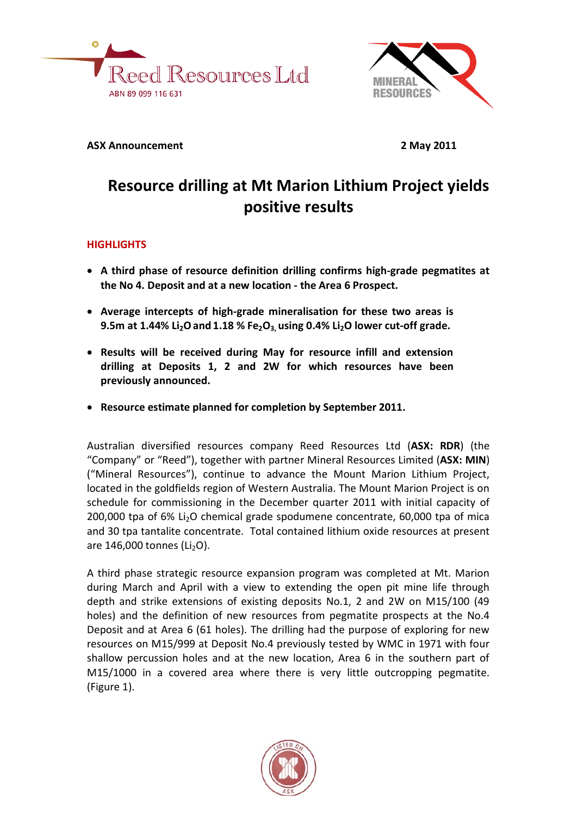



### **ASX Announcement 2 May 2011**

# **Resource drilling at Mt Marion Lithium Project yields positive results**

## **HIGHLIGHTS**

- **A third phase of resource definition drilling confirms high-grade pegmatites at the No 4. Deposit and at a new location - the Area 6 Prospect.**
- **Average intercepts of high-grade mineralisation for these two areas is 9.5m at 1.44% Li2Oand 1.18 % Fe2O3, using 0.4% Li2O lower cut-off grade.**
- **Results will be received during May for resource infill and extension drilling at Deposits 1, 2 and 2W for which resources have been previously announced.**
- **Resource estimate planned for completion by September 2011.**

Australian diversified resources company Reed Resources Ltd (**ASX: RDR**) (the "Company" or "Reed"), together with partner Mineral Resources Limited (**ASX: MIN**) ("Mineral Resources"), continue to advance the Mount Marion Lithium Project, located in the goldfields region of Western Australia. The Mount Marion Project is on schedule for commissioning in the December quarter 2011 with initial capacity of 200,000 tpa of 6% Li<sub>2</sub>O chemical grade spodumene concentrate, 60,000 tpa of mica and 30 tpa tantalite concentrate. Total contained lithium oxide resources at present are  $146,000$  tonnes (Li<sub>2</sub>O).

A third phase strategic resource expansion program was completed at Mt. Marion during March and April with a view to extending the open pit mine life through depth and strike extensions of existing deposits No.1, 2 and 2W on M15/100 (49 holes) and the definition of new resources from pegmatite prospects at the No.4 Deposit and at Area 6 (61 holes). The drilling had the purpose of exploring for new resources on M15/999 at Deposit No.4 previously tested by WMC in 1971 with four shallow percussion holes and at the new location, Area 6 in the southern part of M15/1000 in a covered area where there is very little outcropping pegmatite. (Figure 1).

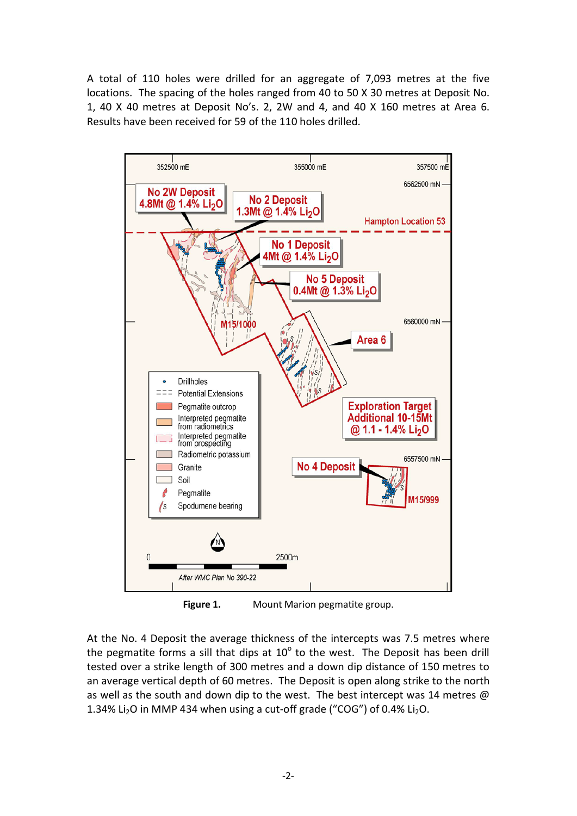A total of 110 holes were drilled for an aggregate of 7,093 metres at the five locations. The spacing of the holes ranged from 40 to 50 X 30 metres at Deposit No. 1, 40 X 40 metres at Deposit No's. 2, 2W and 4, and 40 X 160 metres at Area 6. Results have been received for 59 of the 110 holes drilled.



**Figure 1.** Mount Marion pegmatite group.

At the No. 4 Deposit the average thickness of the intercepts was 7.5 metres where the pegmatite forms a sill that dips at  $10^{\circ}$  to the west. The Deposit has been drill tested over a strike length of 300 metres and a down dip distance of 150 metres to an average vertical depth of 60 metres. The Deposit is open along strike to the north as well as the south and down dip to the west. The best intercept was 14 metres  $\omega$ 1.34% Li<sub>2</sub>O in MMP 434 when using a cut-off grade ("COG") of 0.4% Li<sub>2</sub>O.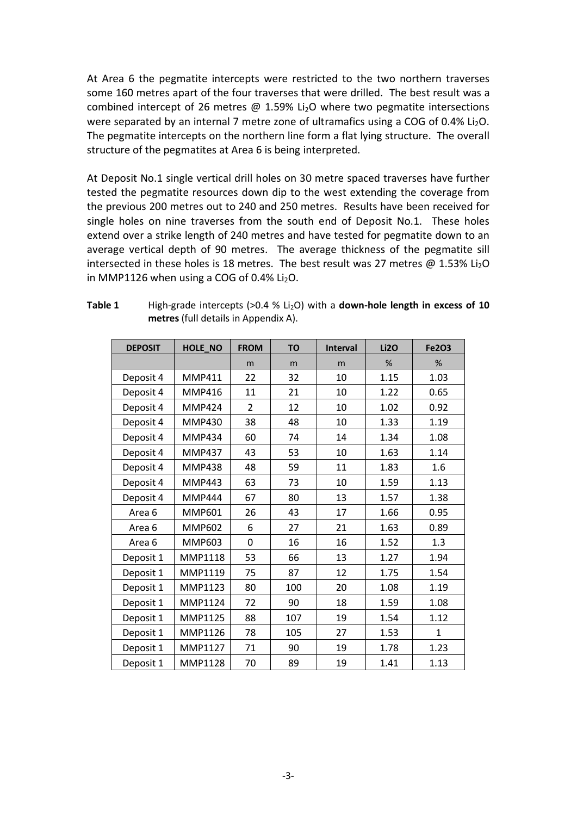At Area 6 the pegmatite intercepts were restricted to the two northern traverses some 160 metres apart of the four traverses that were drilled. The best result was a combined intercept of 26 metres  $\omega$  1.59% Li<sub>2</sub>O where two pegmatite intersections were separated by an internal 7 metre zone of ultramafics using a COG of  $0.4\%$  Li<sub>2</sub>O. The pegmatite intercepts on the northern line form a flat lying structure. The overall structure of the pegmatites at Area 6 is being interpreted.

At Deposit No.1 single vertical drill holes on 30 metre spaced traverses have further tested the pegmatite resources down dip to the west extending the coverage from the previous 200 metres out to 240 and 250 metres. Results have been received for single holes on nine traverses from the south end of Deposit No.1. These holes extend over a strike length of 240 metres and have tested for pegmatite down to an average vertical depth of 90 metres. The average thickness of the pegmatite sill intersected in these holes is 18 metres. The best result was 27 metres  $\omega$  1.53% Li<sub>2</sub>O in MMP1126 when using a COG of  $0.4\%$  Li<sub>2</sub>O.

| <b>DEPOSIT</b> | HOLE_NO        | <b>FROM</b>    | <b>TO</b> | Interval | <b>Li20</b> | <b>Fe2O3</b> |
|----------------|----------------|----------------|-----------|----------|-------------|--------------|
|                |                | m              | m         | m        | %           | %            |
| Deposit 4      | <b>MMP411</b>  | 22             | 32        | 10       | 1.15        | 1.03         |
| Deposit 4      | <b>MMP416</b>  | 11             | 21        | 10       | 1.22        | 0.65         |
| Deposit 4      | <b>MMP424</b>  | $\overline{2}$ | 12        | 10       | 1.02        | 0.92         |
| Deposit 4      | <b>MMP430</b>  | 38             | 48        | 10       | 1.33        | 1.19         |
| Deposit 4      | <b>MMP434</b>  | 60             | 74        | 14       | 1.34        | 1.08         |
| Deposit 4      | <b>MMP437</b>  | 43             | 53        | 10       | 1.63        | 1.14         |
| Deposit 4      | <b>MMP438</b>  | 48             | 59        | 11       | 1.83        | 1.6          |
| Deposit 4      | <b>MMP443</b>  | 63             | 73        | 10       | 1.59        | 1.13         |
| Deposit 4      | <b>MMP444</b>  | 67             | 80        | 13       | 1.57        | 1.38         |
| Area 6         | <b>MMP601</b>  | 26             | 43        | 17       | 1.66        | 0.95         |
| Area 6         | <b>MMP602</b>  | 6              | 27        | 21       | 1.63        | 0.89         |
| Area 6         | <b>MMP603</b>  | 0              | 16        | 16       | 1.52        | 1.3          |
| Deposit 1      | <b>MMP1118</b> | 53             | 66        | 13       | 1.27        | 1.94         |
| Deposit 1      | MMP1119        | 75             | 87        | 12       | 1.75        | 1.54         |
| Deposit 1      | MMP1123        | 80             | 100       | 20       | 1.08        | 1.19         |
| Deposit 1      | MMP1124        | 72             | 90        | 18       | 1.59        | 1.08         |
| Deposit 1      | MMP1125        | 88             | 107       | 19       | 1.54        | 1.12         |
| Deposit 1      | MMP1126        | 78             | 105       | 27       | 1.53        | $\mathbf{1}$ |
| Deposit 1      | MMP1127        | 71             | 90        | 19       | 1.78        | 1.23         |
| Deposit 1      | <b>MMP1128</b> | 70             | 89        | 19       | 1.41        | 1.13         |

#### **Table 1** High-grade intercepts (>0.4 % Li<sub>2</sub>O) with a **down-hole length in excess of 10 metres** (full details in Appendix A).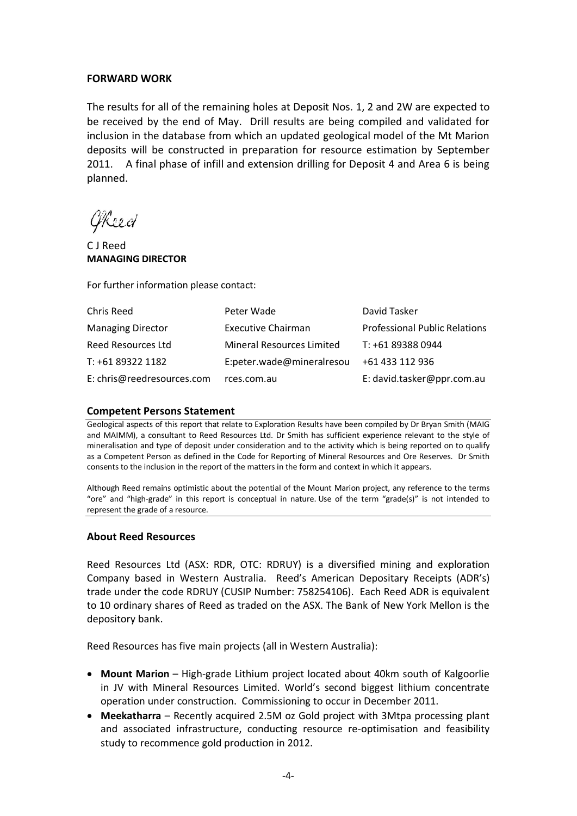#### **FORWARD WORK**

The results for all of the remaining holes at Deposit Nos. 1, 2 and 2W are expected to be received by the end of May. Drill results are being compiled and validated for inclusion in the database from which an updated geological model of the Mt Marion deposits will be constructed in preparation for resource estimation by September 2011. A final phase of infill and extension drilling for Deposit 4 and Area 6 is being planned.

GReed

C J Reed **MANAGING DIRECTOR**

For further information please contact:

| Chris Reed                 | Peter Wade                       | David Tasker                         |
|----------------------------|----------------------------------|--------------------------------------|
| <b>Managing Director</b>   | <b>Executive Chairman</b>        | <b>Professional Public Relations</b> |
| Reed Resources Ltd         | <b>Mineral Resources Limited</b> | T: +61 89388 0944                    |
| T: +61 89322 1182          | E:peter.wade@mineralresou        | +61 433 112 936                      |
| E: chris@reedresources.com | rces.com.au                      | E: david.tasker@ppr.com.au           |

#### **Competent Persons Statement**

Geological aspects of this report that relate to Exploration Results have been compiled by Dr Bryan Smith (MAIG and MAIMM), a consultant to Reed Resources Ltd. Dr Smith has sufficient experience relevant to the style of mineralisation and type of deposit under consideration and to the activity which is being reported on to qualify as a Competent Person as defined in the Code for Reporting of Mineral Resources and Ore Reserves. Dr Smith consents to the inclusion in the report of the matters in the form and context in which it appears.

Although Reed remains optimistic about the potential of the Mount Marion project, any reference to the terms "ore" and "high-grade" in this report is conceptual in nature. Use of the term "grade(s)" is not intended to represent the grade of a resource.

#### **About Reed Resources**

Reed Resources Ltd (ASX: RDR, OTC: RDRUY) is a diversified mining and exploration Company based in Western Australia. Reed's American Depositary Receipts (ADR's) trade under the code RDRUY (CUSIP Number: 758254106). Each Reed ADR is equivalent to 10 ordinary shares of Reed as traded on the ASX. The Bank of New York Mellon is the depository bank.

Reed Resources has five main projects (all in Western Australia):

- **Mount Marion** High-grade Lithium project located about 40km south of Kalgoorlie in JV with Mineral Resources Limited. World's second biggest lithium concentrate operation under construction. Commissioning to occur in December 2011.
- **Meekatharra**  Recently acquired 2.5M oz Gold project with 3Mtpa processing plant and associated infrastructure, conducting resource re-optimisation and feasibility study to recommence gold production in 2012.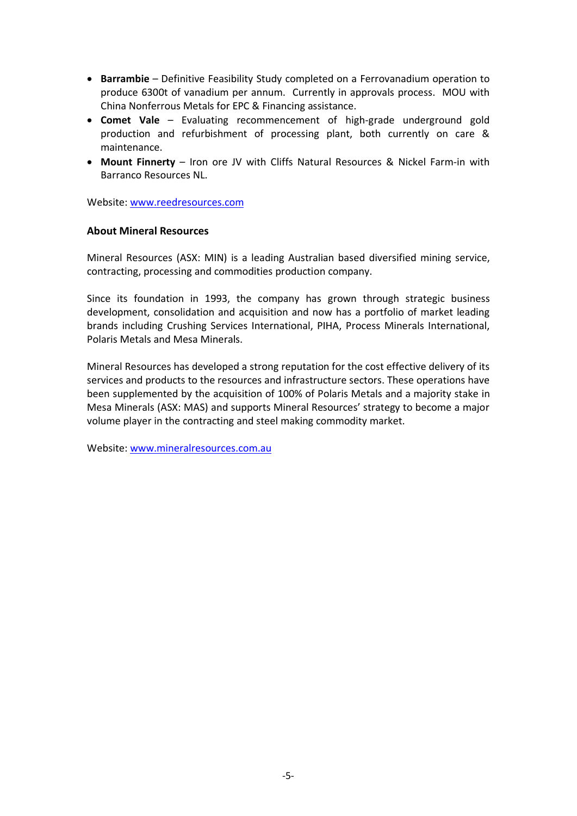- **Barrambie** Definitive Feasibility Study completed on a Ferrovanadium operation to produce 6300t of vanadium per annum. Currently in approvals process. MOU with China Nonferrous Metals for EPC & Financing assistance.
- **Comet Vale** Evaluating recommencement of high-grade underground gold production and refurbishment of processing plant, both currently on care & maintenance.
- **Mount Finnerty** Iron ore JV with Cliffs Natural Resources & Nickel Farm-in with Barranco Resources NL.

Website: [www.reedresources.com](http://www.reedresources.com/)

#### **About Mineral Resources**

Mineral Resources (ASX: MIN) is a leading Australian based diversified mining service, contracting, processing and commodities production company.

Since its foundation in 1993, the company has grown through strategic business development, consolidation and acquisition and now has a portfolio of market leading brands including Crushing Services International, PIHA, Process Minerals International, Polaris Metals and Mesa Minerals.

Mineral Resources has developed a strong reputation for the cost effective delivery of its services and products to the resources and infrastructure sectors. These operations have been supplemented by the acquisition of 100% of Polaris Metals and a majority stake in Mesa Minerals (ASX: MAS) and supports Mineral Resources' strategy to become a major volume player in the contracting and steel making commodity market.

Website: [www.mineralresources.com.au](http://www.mineralresources.com.au/)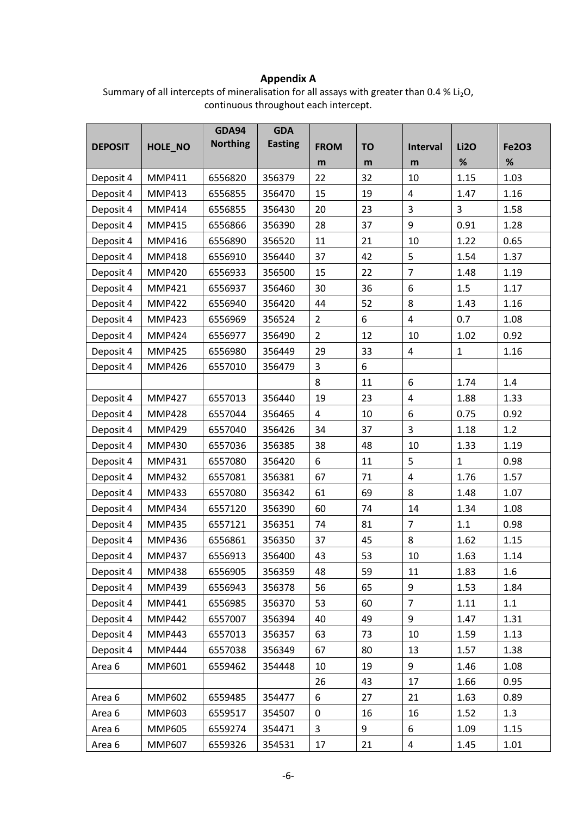### **Appendix A**

Summary of all intercepts of mineralisation for all assays with greater than 0.4 %  $Li<sub>2</sub>O$ , continuous throughout each intercept.

|                |               | <b>GDA94</b>    | <b>GDA</b>     |                |                  |                 |              |              |
|----------------|---------------|-----------------|----------------|----------------|------------------|-----------------|--------------|--------------|
| <b>DEPOSIT</b> | HOLE_NO       | <b>Northing</b> | <b>Easting</b> | <b>FROM</b>    | <b>TO</b>        | <b>Interval</b> | <b>Li2O</b>  | <b>Fe2O3</b> |
|                |               |                 |                | m              | m                | m               | $\%$         | %            |
| Deposit 4      | <b>MMP411</b> | 6556820         | 356379         | 22             | 32               | 10              | 1.15         | 1.03         |
| Deposit 4      | <b>MMP413</b> | 6556855         | 356470         | 15             | 19               | 4               | 1.47         | 1.16         |
| Deposit 4      | <b>MMP414</b> | 6556855         | 356430         | 20             | 23               | 3               | 3            | 1.58         |
| Deposit 4      | <b>MMP415</b> | 6556866         | 356390         | 28             | 37               | 9               | 0.91         | 1.28         |
| Deposit 4      | <b>MMP416</b> | 6556890         | 356520         | 11             | 21               | 10              | 1.22         | 0.65         |
| Deposit 4      | <b>MMP418</b> | 6556910         | 356440         | 37             | 42               | 5               | 1.54         | 1.37         |
| Deposit 4      | <b>MMP420</b> | 6556933         | 356500         | 15             | 22               | $\overline{7}$  | 1.48         | 1.19         |
| Deposit 4      | <b>MMP421</b> | 6556937         | 356460         | 30             | 36               | 6               | 1.5          | 1.17         |
| Deposit 4      | <b>MMP422</b> | 6556940         | 356420         | 44             | 52               | 8               | 1.43         | 1.16         |
| Deposit 4      | <b>MMP423</b> | 6556969         | 356524         | $\overline{2}$ | 6                | $\overline{4}$  | 0.7          | 1.08         |
| Deposit 4      | <b>MMP424</b> | 6556977         | 356490         | $\overline{2}$ | 12               | 10              | 1.02         | 0.92         |
| Deposit 4      | <b>MMP425</b> | 6556980         | 356449         | 29             | 33               | 4               | $\mathbf{1}$ | 1.16         |
| Deposit 4      | <b>MMP426</b> | 6557010         | 356479         | 3              | $\boldsymbol{6}$ |                 |              |              |
|                |               |                 |                | 8              | 11               | 6               | 1.74         | 1.4          |
| Deposit 4      | <b>MMP427</b> | 6557013         | 356440         | 19             | 23               | 4               | 1.88         | 1.33         |
| Deposit 4      | <b>MMP428</b> | 6557044         | 356465         | $\overline{4}$ | 10               | 6               | 0.75         | 0.92         |
| Deposit 4      | <b>MMP429</b> | 6557040         | 356426         | 34             | 37               | 3               | 1.18         | 1.2          |
| Deposit 4      | <b>MMP430</b> | 6557036         | 356385         | 38             | 48               | 10              | 1.33         | 1.19         |
| Deposit 4      | <b>MMP431</b> | 6557080         | 356420         | 6              | 11               | 5               | $\mathbf{1}$ | 0.98         |
| Deposit 4      | <b>MMP432</b> | 6557081         | 356381         | 67             | 71               | 4               | 1.76         | 1.57         |
| Deposit 4      | <b>MMP433</b> | 6557080         | 356342         | 61             | 69               | 8               | 1.48         | 1.07         |
| Deposit 4      | <b>MMP434</b> | 6557120         | 356390         | 60             | 74               | 14              | 1.34         | 1.08         |
| Deposit 4      | <b>MMP435</b> | 6557121         | 356351         | 74             | 81               | $\overline{7}$  | 1.1          | 0.98         |
| Deposit 4      | <b>MMP436</b> | 6556861         | 356350         | 37             | 45               | 8               | 1.62         | 1.15         |
| Deposit 4      | <b>MMP437</b> | 6556913         | 356400         | 43             | 53               | 10              | 1.63         | 1.14         |
| Deposit 4      | <b>MMP438</b> | 6556905         | 356359         | 48             | 59               | 11              | 1.83         | 1.6          |
| Deposit 4      | <b>MMP439</b> | 6556943         | 356378         | 56             | 65               | 9               | 1.53         | 1.84         |
| Deposit 4      | <b>MMP441</b> | 6556985         | 356370         | 53             | 60               | $\overline{7}$  | 1.11         | 1.1          |
| Deposit 4      | <b>MMP442</b> | 6557007         | 356394         | 40             | 49               | 9               | 1.47         | 1.31         |
| Deposit 4      | <b>MMP443</b> | 6557013         | 356357         | 63             | 73               | 10              | 1.59         | 1.13         |
| Deposit 4      | <b>MMP444</b> | 6557038         | 356349         | 67             | 80               | 13              | 1.57         | 1.38         |
| Area 6         | <b>MMP601</b> | 6559462         | 354448         | 10             | 19               | 9               | 1.46         | 1.08         |
|                |               |                 |                | 26             | 43               | 17              | 1.66         | 0.95         |
| Area 6         | <b>MMP602</b> | 6559485         | 354477         | 6              | 27               | 21              | 1.63         | 0.89         |
| Area 6         | MMP603        | 6559517         | 354507         | 0              | 16               | 16              | 1.52         | 1.3          |
| Area 6         | <b>MMP605</b> | 6559274         | 354471         | $\overline{3}$ | 9                | 6               | 1.09         | 1.15         |
| Area 6         | <b>MMP607</b> | 6559326         | 354531         | 17             | 21               | 4               | 1.45         | 1.01         |